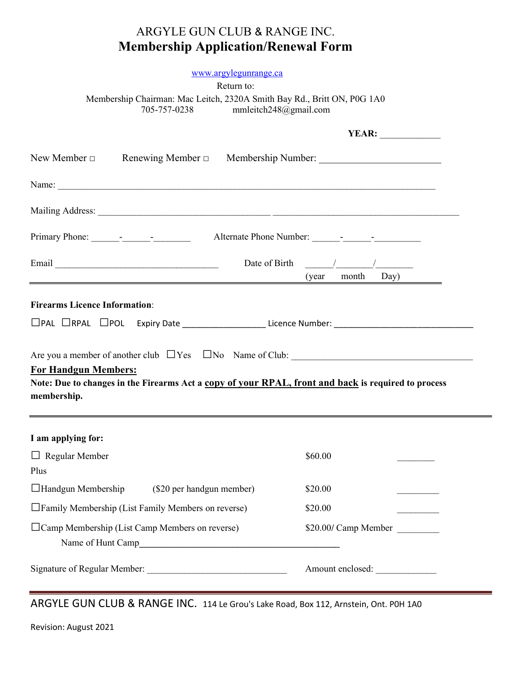## ARGYLE GUN CLUB & RANGE INC. Membership Application/Renewal Form

## www.argylegunrange.ca

Return to:

Membership Chairman: Mac Leitch, 2320A Smith Bay Rd., Britt ON, P0G 1A0<br>705-757-0238 mmleitch248@gmail.com mmleitch248@gmail.com

|                                                                                                                                                   | <b>YEAR:</b>                                                                                                                                                                                                                                                                                                                                                                                                                           |  |  |  |
|---------------------------------------------------------------------------------------------------------------------------------------------------|----------------------------------------------------------------------------------------------------------------------------------------------------------------------------------------------------------------------------------------------------------------------------------------------------------------------------------------------------------------------------------------------------------------------------------------|--|--|--|
| New Member $\Box$ Renewing Member $\Box$ Membership Number: ________________________                                                              |                                                                                                                                                                                                                                                                                                                                                                                                                                        |  |  |  |
|                                                                                                                                                   |                                                                                                                                                                                                                                                                                                                                                                                                                                        |  |  |  |
|                                                                                                                                                   |                                                                                                                                                                                                                                                                                                                                                                                                                                        |  |  |  |
|                                                                                                                                                   |                                                                                                                                                                                                                                                                                                                                                                                                                                        |  |  |  |
|                                                                                                                                                   | Date of Birth $\frac{1}{\sqrt{1-\frac{1}{2}}}\frac{1}{\sqrt{1-\frac{1}{2}}}\frac{1}{\sqrt{1-\frac{1}{2}}}\frac{1}{\sqrt{1-\frac{1}{2}}}\frac{1}{\sqrt{1-\frac{1}{2}}}\frac{1}{\sqrt{1-\frac{1}{2}}}\frac{1}{\sqrt{1-\frac{1}{2}}}\frac{1}{\sqrt{1-\frac{1}{2}}}\frac{1}{\sqrt{1-\frac{1}{2}}}\frac{1}{\sqrt{1-\frac{1}{2}}}\frac{1}{\sqrt{1-\frac{1}{2}}}\frac{1}{\sqrt{1-\frac{1}{2}}}\frac{1}{\sqrt{1-\frac{1}{$<br>(year month Day) |  |  |  |
| <b>Firearms Licence Information:</b>                                                                                                              |                                                                                                                                                                                                                                                                                                                                                                                                                                        |  |  |  |
|                                                                                                                                                   |                                                                                                                                                                                                                                                                                                                                                                                                                                        |  |  |  |
| <b>For Handgun Members:</b><br>Note: Due to changes in the Firearms Act a copy of your RPAL, front and back is required to process<br>membership. |                                                                                                                                                                                                                                                                                                                                                                                                                                        |  |  |  |
| I am applying for:                                                                                                                                |                                                                                                                                                                                                                                                                                                                                                                                                                                        |  |  |  |
| $\Box$ Regular Member<br>Plus                                                                                                                     | \$60.00                                                                                                                                                                                                                                                                                                                                                                                                                                |  |  |  |
| $\Box$ Handgun Membership (\$20 per handgun member)                                                                                               | \$20.00                                                                                                                                                                                                                                                                                                                                                                                                                                |  |  |  |
| □ Family Membership (List Family Members on reverse)                                                                                              | \$20.00                                                                                                                                                                                                                                                                                                                                                                                                                                |  |  |  |
| □ Camp Membership (List Camp Members on reverse)                                                                                                  | \$20.00/ Camp Member                                                                                                                                                                                                                                                                                                                                                                                                                   |  |  |  |
|                                                                                                                                                   | Amount enclosed:                                                                                                                                                                                                                                                                                                                                                                                                                       |  |  |  |

ARGYLE GUN CLUB & RANGE INC. 114 Le Grou's Lake Road, Box 112, Arnstein, Ont. P0H 1A0